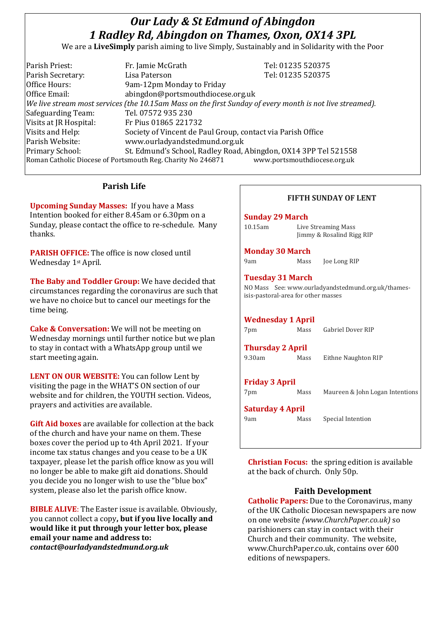# *Our Lady & St Edmund of Abingdon 1 Radley Rd, Abingdon on Thames, Oxon, OX14 3PL*

We are a **LiveSimply** parish aiming to live Simply, Sustainably and in Solidarity with the Poor

| Parish Priest:                                                                              | Fr. Jamie McGrath                                                                                            | Tel: 01235 520375 |  |
|---------------------------------------------------------------------------------------------|--------------------------------------------------------------------------------------------------------------|-------------------|--|
| Parish Secretary:                                                                           | Lisa Paterson                                                                                                | Tel: 01235 520375 |  |
| Office Hours:                                                                               | 9am-12pm Monday to Friday                                                                                    |                   |  |
| Office Email:                                                                               | abingdon@portsmouthdiocese.org.uk                                                                            |                   |  |
|                                                                                             | $ $ We live stream most services (the 10.15am Mass on the first Sunday of every month is not live streamed). |                   |  |
| Safeguarding Team:                                                                          | Tel. 07572 935 230                                                                                           |                   |  |
| Visits at JR Hospital:                                                                      | Fr Pius 01865 221732                                                                                         |                   |  |
| Visits and Help:                                                                            | Society of Vincent de Paul Group, contact via Parish Office                                                  |                   |  |
| Parish Website:                                                                             | www.ourladyandstedmund.org.uk                                                                                |                   |  |
| Primary School:                                                                             | St. Edmund's School, Radley Road, Abingdon, OX14 3PP Tel 521558                                              |                   |  |
| Roman Catholic Diocese of Portsmouth Reg. Charity No 246871<br>www.portsmouthdiocese.org.uk |                                                                                                              |                   |  |
|                                                                                             |                                                                                                              |                   |  |

# **Parish Life**

**Upcoming Sunday Masses:** If you have a Mass Intention booked for either 8.45am or 6.30pm on a Sunday, please contact the office to re-schedule. Many thanks.

**PARISH OFFICE:** The office is now closed until Wednesday 1st April.

**The Baby and Toddler Group:** We have decided that circumstances regarding the coronavirus are such that we have no choice but to cancel our meetings for the time being.

**Cake & Conversation:** We will not be meeting on Wednesday mornings until further notice but we plan to stay in contact with a WhatsApp group until we start meeting again.

**LENT ON OUR WEBSITE:** You can follow Lent by visiting the page in the WHAT'S ON section of our website and for children, the YOUTH section. Videos, prayers and activities are available.

**Gift Aid boxes** are available for collection at the back of the church and have your name on them. These boxes cover the period up to 4th April 2021. If your income tax status changes and you cease to be a UK taxpayer, please let the parish office know as you will no longer be able to make gift aid donations. Should you decide you no longer wish to use the "blue box" system, please also let the parish office know.

**BIBLE ALIVE**: The Easter issue is available. Obviously, you cannot collect a copy**, but if you live locally and would like it put through your letter box, please email your name and address to:** *contact@ourladyandstedmund.org.uk*

#### **FIFTH SUNDAY OF LENT**

#### **Sunday 29 March**

| $10.15$ am | Live Streaming Mass       |
|------------|---------------------------|
|            | Jimmy & Rosalind Rigg RIP |

#### **Monday 30 March**

9am Mass Joe Long RIP

## **Tuesday 31 March**

NO Mass See: www.ourladyandstedmund.org.uk/thamesisis-pastoral-area for other masses

# **Wednesday 1 April**

| 7pm                     | Mass | <b>Gabriel Dover RIP</b>        |  |  |
|-------------------------|------|---------------------------------|--|--|
| <b>Thursday 2 April</b> |      |                                 |  |  |
| 9.30am                  | Mass | Eithne Naughton RIP             |  |  |
|                         |      |                                 |  |  |
| <b>Friday 3 April</b>   |      |                                 |  |  |
| 7pm                     | Mass | Maureen & John Logan Intentions |  |  |
| <b>Saturday 4 April</b> |      |                                 |  |  |
| 9am                     | Mass | Special Intention               |  |  |
|                         |      |                                 |  |  |

**Christian Focus:** the spring edition is available at the back of church. Only 50p.

#### **Faith Development**

**Catholic Papers:** Due to the Coronavirus, many of the UK Catholic Diocesan newspapers are now on one website *(www.ChurchPaper.co.uk)* so parishioners can stay in contact with their Church and their community. The website, www.ChurchPaper.co.uk, contains over 600 editions of newspapers.